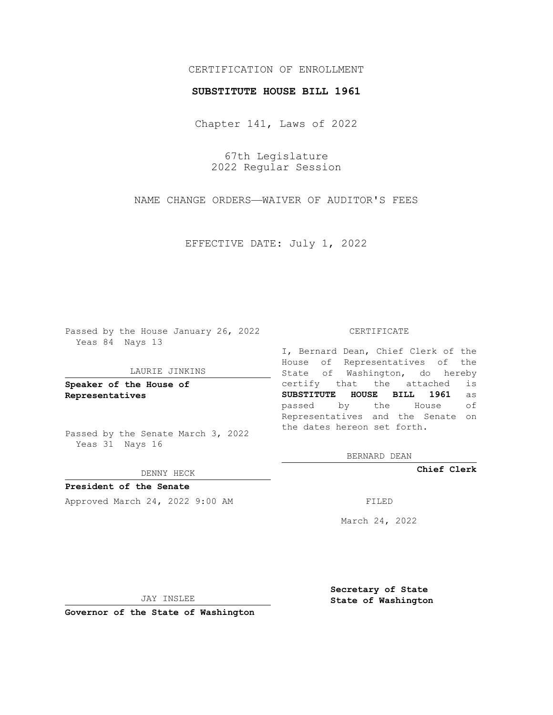# CERTIFICATION OF ENROLLMENT

## **SUBSTITUTE HOUSE BILL 1961**

Chapter 141, Laws of 2022

67th Legislature 2022 Regular Session

NAME CHANGE ORDERS—WAIVER OF AUDITOR'S FEES

EFFECTIVE DATE: July 1, 2022

Passed by the House January 26, 2022 Yeas 84 Nays 13

#### LAURIE JINKINS

**Speaker of the House of Representatives**

Passed by the Senate March 3, 2022 Yeas 31 Nays 16

### DENNY HECK

**President of the Senate** Approved March 24, 2022 9:00 AM FILED

#### CERTIFICATE

I, Bernard Dean, Chief Clerk of the House of Representatives of the State of Washington, do hereby certify that the attached is **SUBSTITUTE HOUSE BILL 1961** as passed by the House of Representatives and the Senate on the dates hereon set forth.

BERNARD DEAN

**Chief Clerk**

March 24, 2022

JAY INSLEE

**Governor of the State of Washington**

**Secretary of State State of Washington**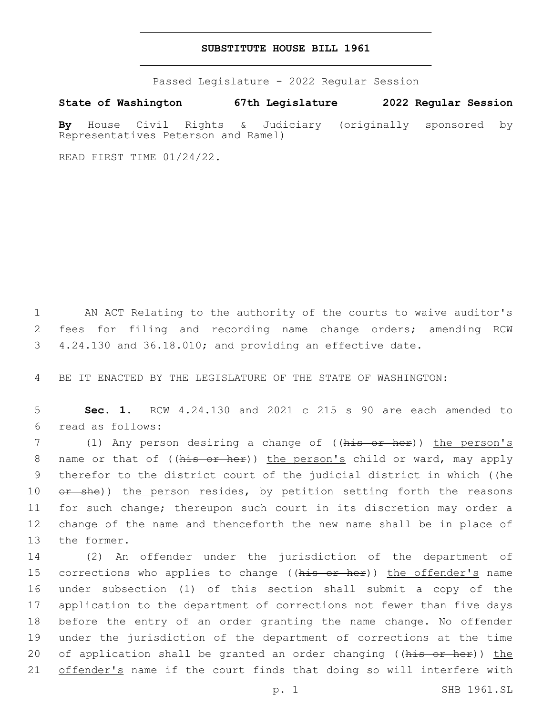## **SUBSTITUTE HOUSE BILL 1961**

Passed Legislature - 2022 Regular Session

**State of Washington 67th Legislature 2022 Regular Session**

**By** House Civil Rights & Judiciary (originally sponsored by Representatives Peterson and Ramel)

READ FIRST TIME 01/24/22.

1 AN ACT Relating to the authority of the courts to waive auditor's 2 fees for filing and recording name change orders; amending RCW 3 4.24.130 and 36.18.010; and providing an effective date.

4 BE IT ENACTED BY THE LEGISLATURE OF THE STATE OF WASHINGTON:

5 **Sec. 1.** RCW 4.24.130 and 2021 c 215 s 90 are each amended to read as follows:6

7 (1) Any person desiring a change of ((his or her)) the person's 8 name or that of ((his or her)) the person's child or ward, may apply 9 therefor to the district court of the judicial district in which ((he 10 or she)) the person resides, by petition setting forth the reasons 11 for such change; thereupon such court in its discretion may order a 12 change of the name and thenceforth the new name shall be in place of 13 the former.

 (2) An offender under the jurisdiction of the department of 15 corrections who applies to change ((his or her)) the offender's name under subsection (1) of this section shall submit a copy of the application to the department of corrections not fewer than five days before the entry of an order granting the name change. No offender under the jurisdiction of the department of corrections at the time 20 of application shall be granted an order changing ((his or her)) the 21 offender's name if the court finds that doing so will interfere with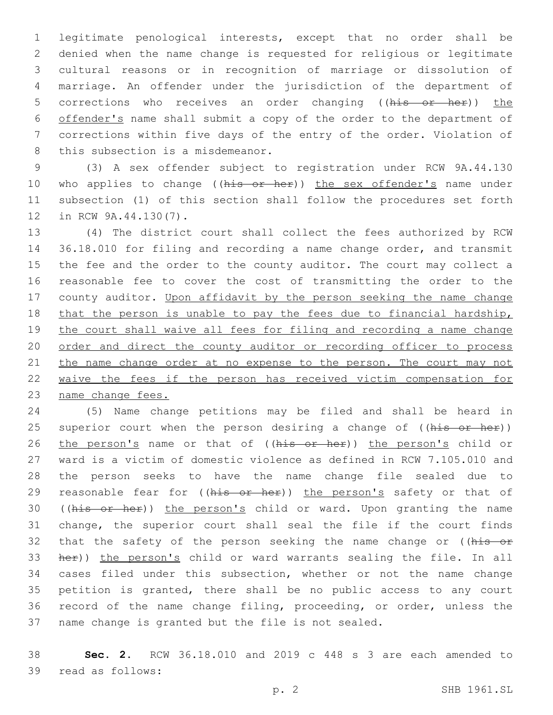legitimate penological interests, except that no order shall be denied when the name change is requested for religious or legitimate cultural reasons or in recognition of marriage or dissolution of marriage. An offender under the jurisdiction of the department of 5 corrections who receives an order changing ((his or her)) the offender's name shall submit a copy of the order to the department of corrections within five days of the entry of the order. Violation of 8 this subsection is a misdemeanor.

 (3) A sex offender subject to registration under RCW 9A.44.130 10 who applies to change ((his or her)) the sex offender's name under subsection (1) of this section shall follow the procedures set forth 12 in RCW 9A.44.130(7).

 (4) The district court shall collect the fees authorized by RCW 36.18.010 for filing and recording a name change order, and transmit the fee and the order to the county auditor. The court may collect a reasonable fee to cover the cost of transmitting the order to the 17 county auditor. Upon affidavit by the person seeking the name change that the person is unable to pay the fees due to financial hardship, the court shall waive all fees for filing and recording a name change order and direct the county auditor or recording officer to process 21 the name change order at no expense to the person. The court may not waive the fees if the person has received victim compensation for name change fees.

 (5) Name change petitions may be filed and shall be heard in 25 superior court when the person desiring a change of ((his or her)) 26 the person's name or that of ((his or her)) the person's child or ward is a victim of domestic violence as defined in RCW 7.105.010 and the person seeks to have the name change file sealed due to 29 reasonable fear for ((his or her)) the person's safety or that of 30 ((his or her)) the person's child or ward. Upon granting the name change, the superior court shall seal the file if the court finds 32 that the safety of the person seeking the name change or ((his or 33 her)) the person's child or ward warrants sealing the file. In all cases filed under this subsection, whether or not the name change petition is granted, there shall be no public access to any court record of the name change filing, proceeding, or order, unless the name change is granted but the file is not sealed.

 **Sec. 2.** RCW 36.18.010 and 2019 c 448 s 3 are each amended to 39 read as follows: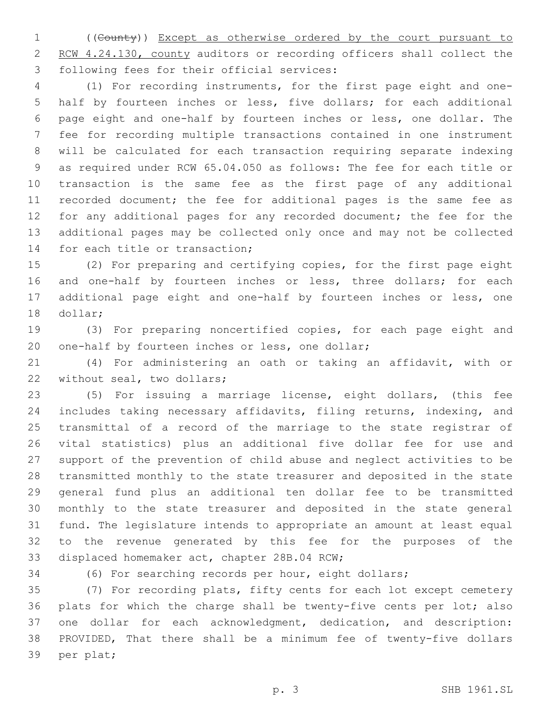((County)) Except as otherwise ordered by the court pursuant to 2 RCW 4.24.130, county auditors or recording officers shall collect the 3 following fees for their official services:

 (1) For recording instruments, for the first page eight and one- half by fourteen inches or less, five dollars; for each additional page eight and one-half by fourteen inches or less, one dollar. The fee for recording multiple transactions contained in one instrument will be calculated for each transaction requiring separate indexing as required under RCW 65.04.050 as follows: The fee for each title or transaction is the same fee as the first page of any additional recorded document; the fee for additional pages is the same fee as 12 for any additional pages for any recorded document; the fee for the additional pages may be collected only once and may not be collected 14 for each title or transaction;

 (2) For preparing and certifying copies, for the first page eight 16 and one-half by fourteen inches or less, three dollars; for each additional page eight and one-half by fourteen inches or less, one 18 dollar;

 (3) For preparing noncertified copies, for each page eight and 20 one-half by fourteen inches or less, one dollar;

 (4) For administering an oath or taking an affidavit, with or 22 without seal, two dollars;

 (5) For issuing a marriage license, eight dollars, (this fee includes taking necessary affidavits, filing returns, indexing, and transmittal of a record of the marriage to the state registrar of vital statistics) plus an additional five dollar fee for use and support of the prevention of child abuse and neglect activities to be transmitted monthly to the state treasurer and deposited in the state general fund plus an additional ten dollar fee to be transmitted monthly to the state treasurer and deposited in the state general fund. The legislature intends to appropriate an amount at least equal to the revenue generated by this fee for the purposes of the 33 displaced homemaker act, chapter 28B.04 RCW;

(6) For searching records per hour, eight dollars;

 (7) For recording plats, fifty cents for each lot except cemetery plats for which the charge shall be twenty-five cents per lot; also one dollar for each acknowledgment, dedication, and description: PROVIDED, That there shall be a minimum fee of twenty-five dollars 39 per plat;